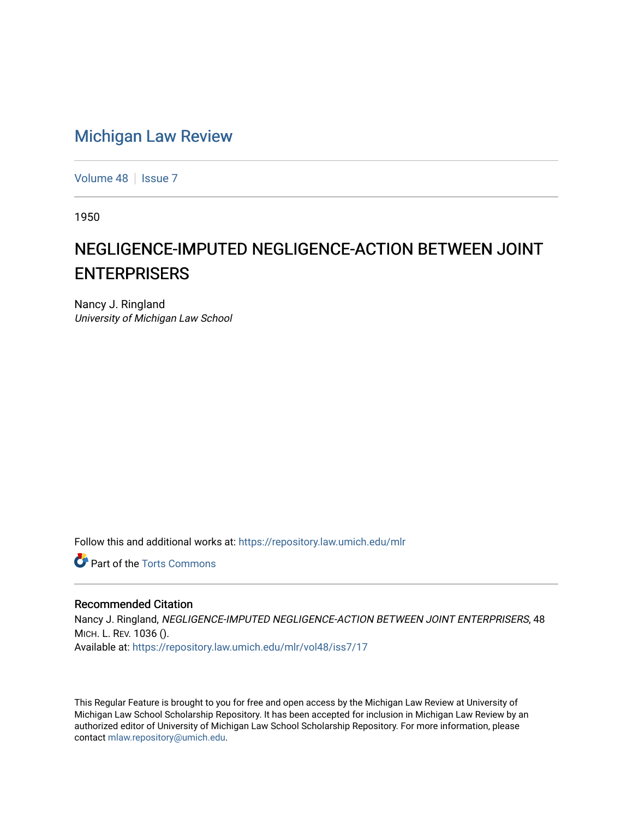## [Michigan Law Review](https://repository.law.umich.edu/mlr)

[Volume 48](https://repository.law.umich.edu/mlr/vol48) | [Issue 7](https://repository.law.umich.edu/mlr/vol48/iss7)

1950

## NEGLIGENCE-IMPUTED NEGLIGENCE-ACTION BETWEEN JOINT ENTERPRISERS

Nancy J. Ringland University of Michigan Law School

Follow this and additional works at: [https://repository.law.umich.edu/mlr](https://repository.law.umich.edu/mlr?utm_source=repository.law.umich.edu%2Fmlr%2Fvol48%2Fiss7%2F17&utm_medium=PDF&utm_campaign=PDFCoverPages) 

**C** Part of the [Torts Commons](http://network.bepress.com/hgg/discipline/913?utm_source=repository.law.umich.edu%2Fmlr%2Fvol48%2Fiss7%2F17&utm_medium=PDF&utm_campaign=PDFCoverPages)

## Recommended Citation

Nancy J. Ringland, NEGLIGENCE-IMPUTED NEGLIGENCE-ACTION BETWEEN JOINT ENTERPRISERS, 48 MICH. L. REV. 1036 (). Available at: [https://repository.law.umich.edu/mlr/vol48/iss7/17](https://repository.law.umich.edu/mlr/vol48/iss7/17?utm_source=repository.law.umich.edu%2Fmlr%2Fvol48%2Fiss7%2F17&utm_medium=PDF&utm_campaign=PDFCoverPages) 

This Regular Feature is brought to you for free and open access by the Michigan Law Review at University of Michigan Law School Scholarship Repository. It has been accepted for inclusion in Michigan Law Review by an authorized editor of University of Michigan Law School Scholarship Repository. For more information, please contact [mlaw.repository@umich.edu](mailto:mlaw.repository@umich.edu).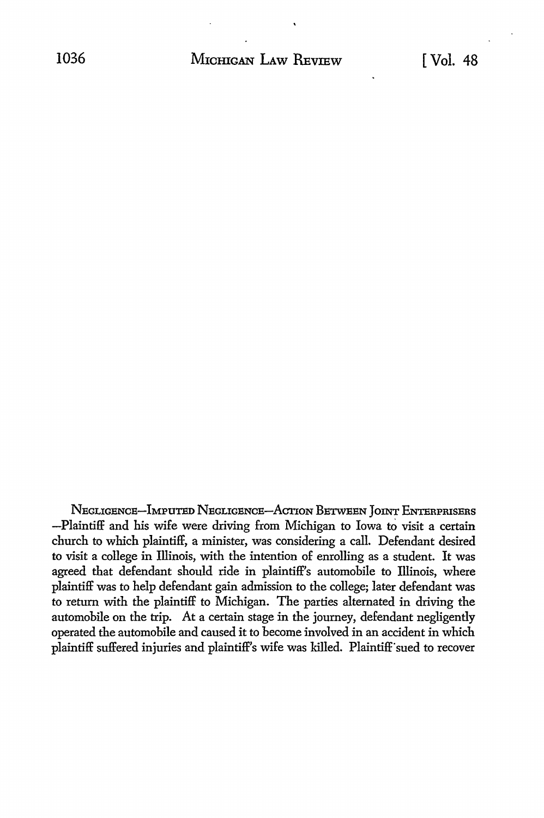NEGLIGENCE-IMPUTED NEGLIGENCE-ACTION BETWEEN JOINT ENTERPRISERS -Plaintiff and his wife were driving from Michigan to Iowa to visit a certain church to which plaintiff, a minister, was considering a call. Defendant desired to visit a college in Illinois, with the intention of enrolling as a student. It was agreed that defendant should ride in plaintiff's automobile to Illinois, where plaintiff was to help defendant gain admission to the college; later defendant was to return with the plaintiff to Michigan. The parties alternated in driving the automobile on the trip. *At* a certain stage in the journey, defendant negligently operated the automobile and caused it to become involved in an accident in which plaintiff suffered injuries and plaintiff's wife was killed. Plaintiff"sued to recover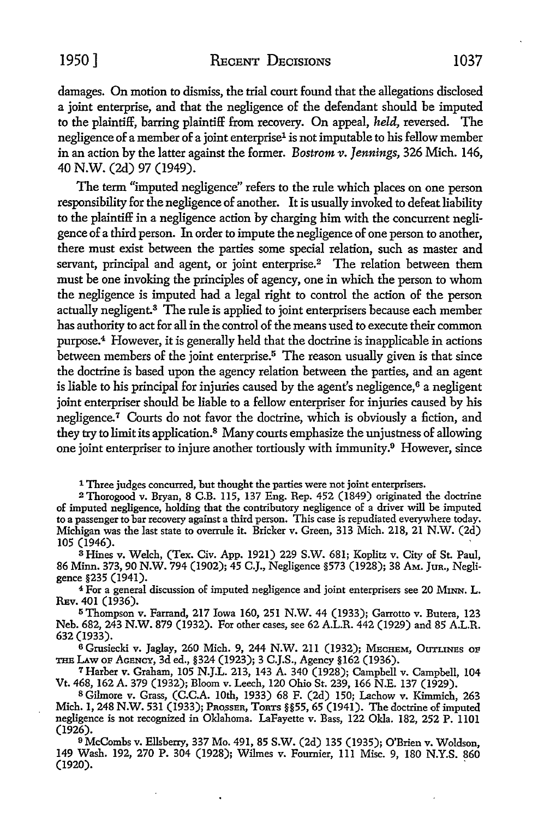1950] RECENT DECISIONS 1037

damages. On motion to dismiss, the trial court found that the allegations disclosed a joint enterprise, and that the negligence of the defendant should be imputed to the plaintiff, barring plaintiff from recovery. On appeal, *held,* reversed. The negligence of a member of a joint enterprise<sup>1</sup> is not imputable to his fellow member in an action by the latter against the former. *Bostrom v. Jennings,* 326 Mich. 146, 40 N.W. (2d) 97 (1949).

The term "imputed negligence" refers to the rule which places on one person responsibility for the negligence of another. It is usually invoked to defeat liability to the plaintiff in a negligence action by charging him with the concurrent negligence of a third person. In order to impute the negligence of one person to another, there must exist between the parties some special relation, such as master and servant, principal and agent, or joint enterprise.<sup>2</sup> The relation between them must be one invoking the principles of agency, one in which the person to whom the negligence is imputed had a legal right to control the action of the person actually negligent.<sup>3</sup> The rule is applied to joint enterprisers because each member has authority to act for all in the control of the means used to execute their common purpose.<sup>4</sup> However, it is generally held that the doctrine is inapplicable in actions between members of the joint enterprise.<sup>5</sup> The reason usually given is that since the doctrine is based upon the agency relation between the parties, and an agent is liable to his principal for injuries caused by the agent's negligence, $6a$  negligent joint enterpriser should be liable to a fellow enterpriser for injuries caused by his negligence.<sup>7</sup> Courts do not favor the doctrine, which is obviously a fiction, and they try to limit its application.<sup>8</sup> Many courts emphasize the unjustness of allowing one joint enterpriser to injure another tortiously with immunity.<sup>9</sup> However, since

1 Three judges concurred, but thought the parties were not joint enterprisers.

<sup>2</sup>Thorogood v. Bryan, 8 C.B. 115, 137 Eng. Rep. 452 (1849) originated the doctrine of imputed negligence, holding that the contributory negligence of a driver will be imputed to a passenger to bar recovery against a third person. This case is repudiated everywhere today. Michigan was the last state to overrule it. Bricker v. Green, 313 Mich. 218, 21 N.W. (2d) 105 (1946).

<sup>3</sup>Hines v. Welch, (Tex. Civ. App. 1921) 229 S.W. 681; Koplitz v. City of St. Paul, 86 Minn. 373, 90 N.W. 794 (1902); 45 C.J., Negligence §573 (1928); 38 AM. JuR., Negligence §235 (1941).

<sup>4</sup>For a general discussion of imputed negligence and joint enterprisers see 20 M1NN. L. REv. 401 (1936).

<sup>5</sup>Thompson v. Farrand, 217 Iowa 160, 251 N.W. 44 (1933); Garrotto v. Butera, 123 Neb. 682, 243 N.W. 879 (1932). For other cases, see 62 A.L.R. 442 (1929) and 85 A.L.R. 632 (1933).

6 Grusiecki v. Jaglay, 260 Mich. 9, 244 N.W. 211 (1932); MECHEM, OUTLINES OF THE I.Aw OP AGENCY, 3d ed., §324 (1923); 3 C.J.S., Agency §162 (1936).

7 Harber v. Graham, 105 N.J.L. 213, 143 A. 340 (1928); Campbell v. Campbell, 104 Vt. 468, 162 A. 379 (1932); Bloom v. Leech, 120 Ohio St. 239, 166 N.E. 137 (1929).

<sup>8</sup>Gilmore v. Grass, (C.C.A. 10th, 1933) 68 F. (2d) 150; Lachow v. Kimmich, 263 Mich. 1, 248 N.W. 531 (1933); PROSSER, TORTS §§55, 65 (1941). The doctrine of imputed negligence is not recognized in Oklahoma. LaFayette v. Bass, 122 Okla. 182, 252 P. 1101 (1926).

<sup>9</sup> McCombs v. Ellsberry, 337 Mo. 491, 85 S.W. (2d) 135 (1935); O'Brien v. Woldson, 149 Wash. 192, 270 P. 304 (1928); Wilmes v. Fournier, Ill Misc. 9, 180 N.Y.S. 860 (1920). .